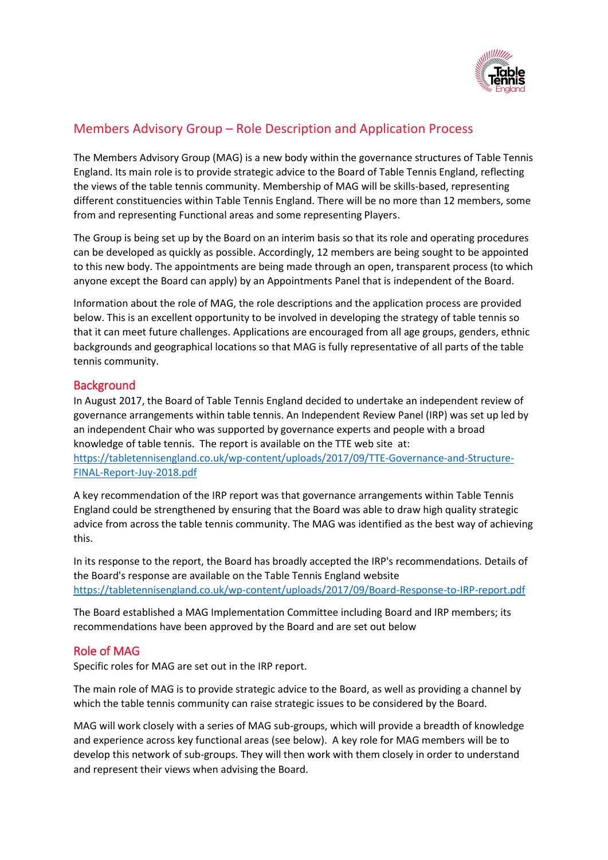

The Members Advisory Group (MAG) is a new body within the governance structures of Table Tennis England. Its main role is to provide strategic advice to the Board of Table Tennis England, reflecting the views of the table tennis community. Membership of MAG will be skills-based, representing different constituencies within Table Tennis England. There will be no more than 12 members, some from and representing Functional areas and some representing Players.

The Group is being set up by the Board on an interim basis so that its role and operating procedures can be developed as quickly as possible. Accordingly, 12 members are being sought to be appointed to this new body. The appointments are being made through an open, transparent process (to which anyone except the Board can apply) by an Appointments Panel that is independent of the Board.

Information about the role of MAG, the role descriptions and the application process are provided below. This is an excellent opportunity to be involved in developing the strategy of table tennis so that it can meet future challenges. Applications are encouraged from all age groups, genders, ethnic backgrounds and geographical locations so that MAG is fully representative of all parts of the table tennis community.

### **Background**

In August 2017, the Board of Table Tennis England decided to undertake an independent review of governance arrangements within table tennis. An Independent Review Panel (IRP) was set up led by an independent Chair who was supported by governance experts and people with a broad knowledge of table tennis. The report is available on the TTE web site at: [https://tabletennisengland.co.uk/wp-content/uploads/2017/09/TTE-Governance-and-Structure-](https://tabletennisengland.co.uk/wp-content/uploads/2017/09/TTE-Governance-and-Structure-FINAL-Report-Juy-2018.pdf)[FINAL-Report-Juy-2018.pdf](https://tabletennisengland.co.uk/wp-content/uploads/2017/09/TTE-Governance-and-Structure-FINAL-Report-Juy-2018.pdf)

A key recommendation of the IRP report was that governance arrangements within Table Tennis England could be strengthened by ensuring that the Board was able to draw high quality strategic advice from across the table tennis community. The MAG was identified as the best way of achieving this.

In its response to the report, the Board has broadly accepted the IRP's recommendations. Details of the Board's response are available on the Table Tennis England website <https://tabletennisengland.co.uk/wp-content/uploads/2017/09/Board-Response-to-IRP-report.pdf>

The Board established a MAG Implementation Committee including Board and IRP members; its recommendations have been approved by the Board and are set out below

## Role of MAG

Specific roles for MAG are set out in the IRP report.

The main role of MAG is to provide strategic advice to the Board, as well as providing a channel by which the table tennis community can raise strategic issues to be considered by the Board.

MAG will work closely with a series of MAG sub-groups, which will provide a breadth of knowledge and experience across key functional areas (see below). A key role for MAG members will be to develop this network of sub-groups. They will then work with them closely in order to understand and represent their views when advising the Board.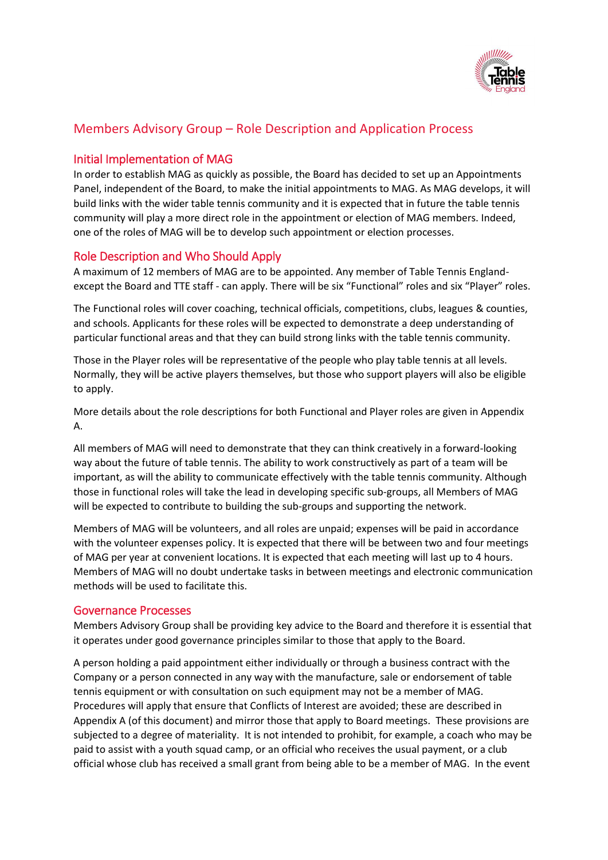

## Initial Implementation of MAG

In order to establish MAG as quickly as possible, the Board has decided to set up an Appointments Panel, independent of the Board, to make the initial appointments to MAG. As MAG develops, it will build links with the wider table tennis community and it is expected that in future the table tennis community will play a more direct role in the appointment or election of MAG members. Indeed, one of the roles of MAG will be to develop such appointment or election processes.

## Role Description and Who Should Apply

A maximum of 12 members of MAG are to be appointed. Any member of Table Tennis Englandexcept the Board and TTE staff - can apply. There will be six "Functional" roles and six "Player" roles.

The Functional roles will cover coaching, technical officials, competitions, clubs, leagues & counties, and schools. Applicants for these roles will be expected to demonstrate a deep understanding of particular functional areas and that they can build strong links with the table tennis community.

Those in the Player roles will be representative of the people who play table tennis at all levels. Normally, they will be active players themselves, but those who support players will also be eligible to apply.

More details about the role descriptions for both Functional and Player roles are given in Appendix A.

All members of MAG will need to demonstrate that they can think creatively in a forward-looking way about the future of table tennis. The ability to work constructively as part of a team will be important, as will the ability to communicate effectively with the table tennis community. Although those in functional roles will take the lead in developing specific sub-groups, all Members of MAG will be expected to contribute to building the sub-groups and supporting the network.

Members of MAG will be volunteers, and all roles are unpaid; expenses will be paid in accordance with the volunteer expenses policy. It is expected that there will be between two and four meetings of MAG per year at convenient locations. It is expected that each meeting will last up to 4 hours. Members of MAG will no doubt undertake tasks in between meetings and electronic communication methods will be used to facilitate this.

### Governance Processes

Members Advisory Group shall be providing key advice to the Board and therefore it is essential that it operates under good governance principles similar to those that apply to the Board.

A person holding a paid appointment either individually or through a business contract with the Company or a person connected in any way with the manufacture, sale or endorsement of table tennis equipment or with consultation on such equipment may not be a member of MAG. Procedures will apply that ensure that Conflicts of Interest are avoided; these are described in Appendix A (of this document) and mirror those that apply to Board meetings. These provisions are subjected to a degree of materiality. It is not intended to prohibit, for example, a coach who may be paid to assist with a youth squad camp, or an official who receives the usual payment, or a club official whose club has received a small grant from being able to be a member of MAG. In the event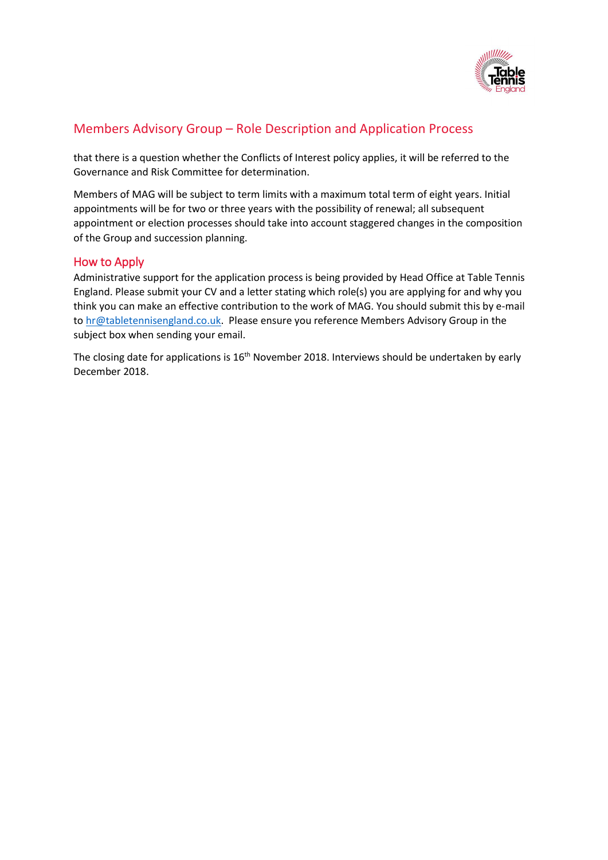

that there is a question whether the Conflicts of Interest policy applies, it will be referred to the Governance and Risk Committee for determination.

Members of MAG will be subject to term limits with a maximum total term of eight years. Initial appointments will be for two or three years with the possibility of renewal; all subsequent appointment or election processes should take into account staggered changes in the composition of the Group and succession planning.

### How to Apply

Administrative support for the application process is being provided by Head Office at Table Tennis England. Please submit your CV and a letter stating which role(s) you are applying for and why you think you can make an effective contribution to the work of MAG. You should submit this by e-mail to [hr@tabletennisengland.co.uk.](mailto:hr@tabletennisengland.co.uk) Please ensure you reference Members Advisory Group in the subject box when sending your email.

The closing date for applications is 16<sup>th</sup> November 2018. Interviews should be undertaken by early December 2018.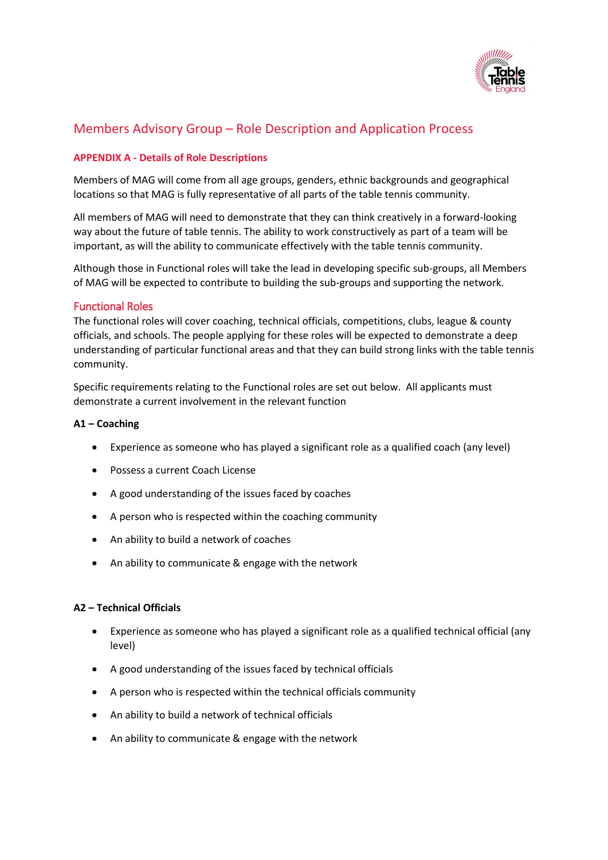

### **APPENDIX A - Details of Role Descriptions**

Members of MAG will come from all age groups, genders, ethnic backgrounds and geographical locations so that MAG is fully representative of all parts of the table tennis community.

All members of MAG will need to demonstrate that they can think creatively in a forward-looking way about the future of table tennis. The ability to work constructively as part of a team will be important, as will the ability to communicate effectively with the table tennis community.

Although those in Functional roles will take the lead in developing specific sub-groups, all Members of MAG will be expected to contribute to building the sub-groups and supporting the network.

### Functional Roles

The functional roles will cover coaching, technical officials, competitions, clubs, league & county officials, and schools. The people applying for these roles will be expected to demonstrate a deep understanding of particular functional areas and that they can build strong links with the table tennis community.

Specific requirements relating to the Functional roles are set out below. All applicants must demonstrate a current involvement in the relevant function

#### **A1 – Coaching**

- Experience as someone who has played a significant role as a qualified coach (any level)
- Possess a current Coach License
- A good understanding of the issues faced by coaches
- A person who is respected within the coaching community
- An ability to build a network of coaches
- An ability to communicate & engage with the network

#### **A2 – Technical Officials**

- Experience as someone who has played a significant role as a qualified technical official (any level)
- A good understanding of the issues faced by technical officials
- A person who is respected within the technical officials community
- An ability to build a network of technical officials
- An ability to communicate & engage with the network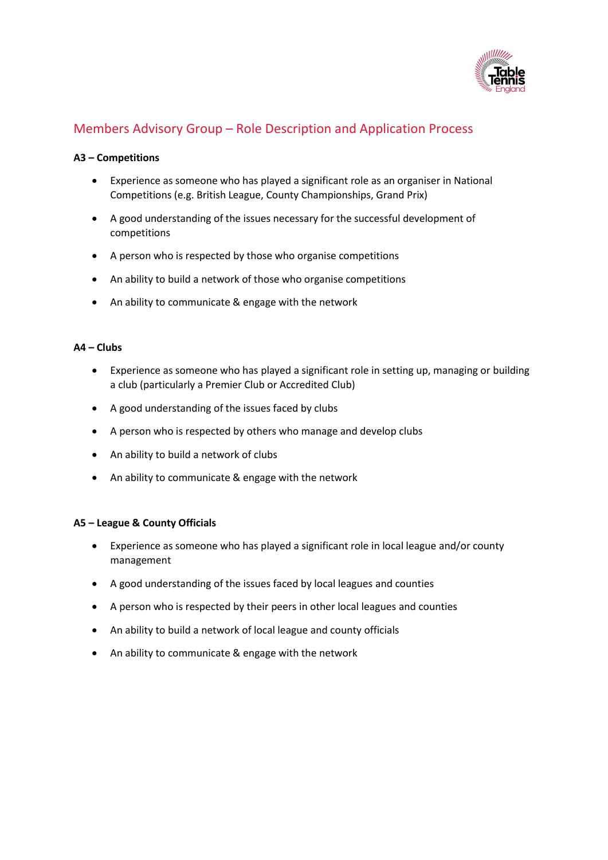

#### **A3 – Competitions**

- Experience as someone who has played a significant role as an organiser in National Competitions (e.g. British League, County Championships, Grand Prix)
- A good understanding of the issues necessary for the successful development of competitions
- A person who is respected by those who organise competitions
- An ability to build a network of those who organise competitions
- An ability to communicate & engage with the network

#### **A4 – Clubs**

- Experience as someone who has played a significant role in setting up, managing or building a club (particularly a Premier Club or Accredited Club)
- A good understanding of the issues faced by clubs
- A person who is respected by others who manage and develop clubs
- An ability to build a network of clubs
- An ability to communicate & engage with the network

#### **A5 – League & County Officials**

- Experience as someone who has played a significant role in local league and/or county management
- A good understanding of the issues faced by local leagues and counties
- A person who is respected by their peers in other local leagues and counties
- An ability to build a network of local league and county officials
- An ability to communicate & engage with the network